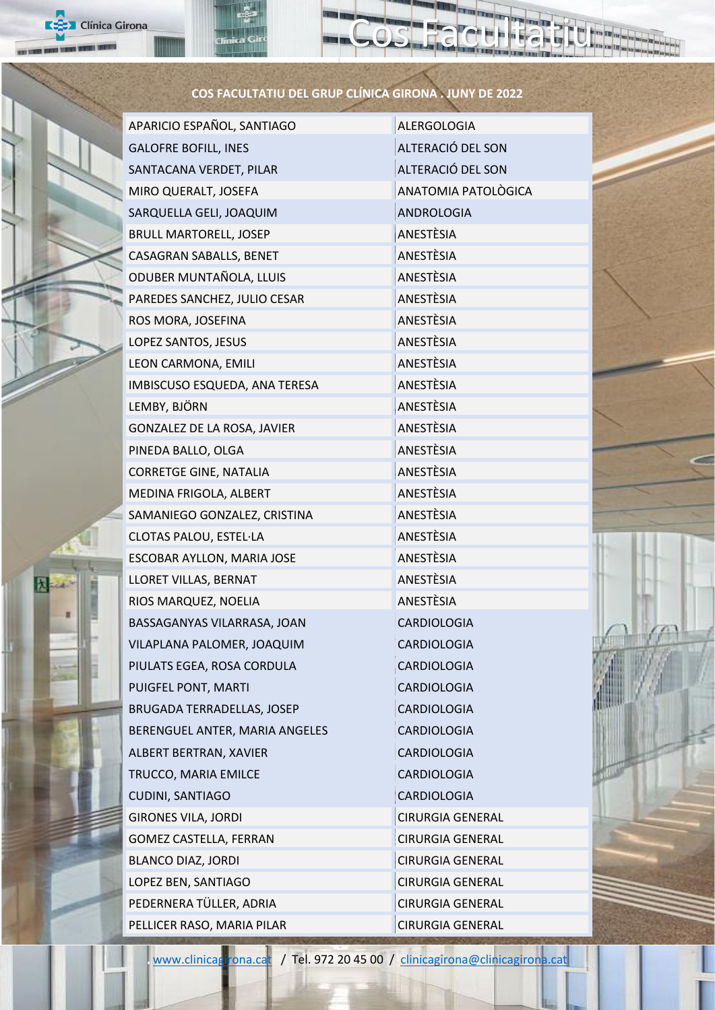| <b>EX</b> Clínica Girona                              |                                   |                         |  |  |
|-------------------------------------------------------|-----------------------------------|-------------------------|--|--|
| COS FACULTATIU DEL GRUP CLÍNICA GIRONA . JUNY DE 2022 |                                   |                         |  |  |
|                                                       | APARICIO ESPAÑOL, SANTIAGO        | <b>ALERGOLOGIA</b>      |  |  |
|                                                       | <b>GALOFRE BOFILL, INES</b>       | ALTERACIÓ DEL SON       |  |  |
|                                                       | SANTACANA VERDET, PILAR           | ALTERACIÓ DEL SON       |  |  |
|                                                       | MIRO QUERALT, JOSEFA              | ANATOMIA PATOLÒGICA     |  |  |
|                                                       | SARQUELLA GELI, JOAQUIM           | ANDROLOGIA              |  |  |
|                                                       | <b>BRULL MARTORELL, JOSEP</b>     | ANESTÈSIA               |  |  |
|                                                       | CASAGRAN SABALLS, BENET           | ANESTÈSIA               |  |  |
|                                                       | ODUBER MUNTAÑOLA, LLUIS           | ANESTÈSIA               |  |  |
|                                                       | PAREDES SANCHEZ, JULIO CESAR      | ANESTÈSIA               |  |  |
|                                                       | ROS MORA, JOSEFINA                | ANESTÈSIA               |  |  |
|                                                       | LOPEZ SANTOS, JESUS               | ANESTÈSIA               |  |  |
|                                                       | LEON CARMONA, EMILI               | ANESTÈSIA               |  |  |
|                                                       | IMBISCUSO ESQUEDA, ANA TERESA     | ANESTÈSIA               |  |  |
|                                                       | LEMBY, BJÖRN                      | ANESTÈSIA               |  |  |
|                                                       | GONZALEZ DE LA ROSA, JAVIER       | ANESTÈSIA               |  |  |
|                                                       | PINEDA BALLO, OLGA                | ANESTÈSIA               |  |  |
|                                                       | <b>CORRETGE GINE, NATALIA</b>     | ANESTÈSIA               |  |  |
|                                                       | MEDINA FRIGOLA, ALBERT            | ANESTÈSIA               |  |  |
|                                                       | SAMANIEGO GONZALEZ, CRISTINA      | ANESTÈSIA               |  |  |
|                                                       | CLOTAS PALOU, ESTEL·LA            | ANESTÈSIA               |  |  |
|                                                       | ESCOBAR AYLLON, MARIA JOSE        | ANESTÈSIA               |  |  |
|                                                       | LLORET VILLAS, BERNAT             | ANESTÈSIA               |  |  |
|                                                       | RIOS MARQUEZ, NOELIA              | ANESTÈSIA               |  |  |
|                                                       | BASSAGANYAS VILARRASA, JOAN       | CARDIOLOGIA             |  |  |
|                                                       | VILAPLANA PALOMER, JOAQUIM        | CARDIOLOGIA             |  |  |
|                                                       | PIULATS EGEA, ROSA CORDULA        | CARDIOLOGIA             |  |  |
|                                                       | PUIGFEL PONT, MARTI               | CARDIOLOGIA             |  |  |
|                                                       | <b>BRUGADA TERRADELLAS, JOSEP</b> | CARDIOLOGIA             |  |  |
|                                                       | BERENGUEL ANTER, MARIA ANGELES    | CARDIOLOGIA             |  |  |
|                                                       | ALBERT BERTRAN, XAVIER            | CARDIOLOGIA             |  |  |
|                                                       | TRUCCO, MARIA EMILCE              | CARDIOLOGIA             |  |  |
|                                                       | CUDINI, SANTIAGO                  | CARDIOLOGIA             |  |  |
|                                                       | <b>GIRONES VILA, JORDI</b>        | <b>CIRURGIA GENERAL</b> |  |  |
|                                                       | GOMEZ CASTELLA, FERRAN            | <b>CIRURGIA GENERAL</b> |  |  |
|                                                       | <b>BLANCO DIAZ, JORDI</b>         | <b>CIRURGIA GENERAL</b> |  |  |
|                                                       | LOPEZ BEN, SANTIAGO               | <b>CIRURGIA GENERAL</b> |  |  |
|                                                       | PEDERNERA TÜLLER, ADRIA           | <b>CIRURGIA GENERAL</b> |  |  |
|                                                       | PELLICER RASO, MARIA PILAR        | <b>CIRURGIA GENERAL</b> |  |  |

100 100

[www.clinicagirona.cat](http://www.clinicagirona.cat/) / Tel. 972 20 45 00 / [clinicagirona@clinicagirona.cat](mailto:clinicagirona@clinicagirona.cat)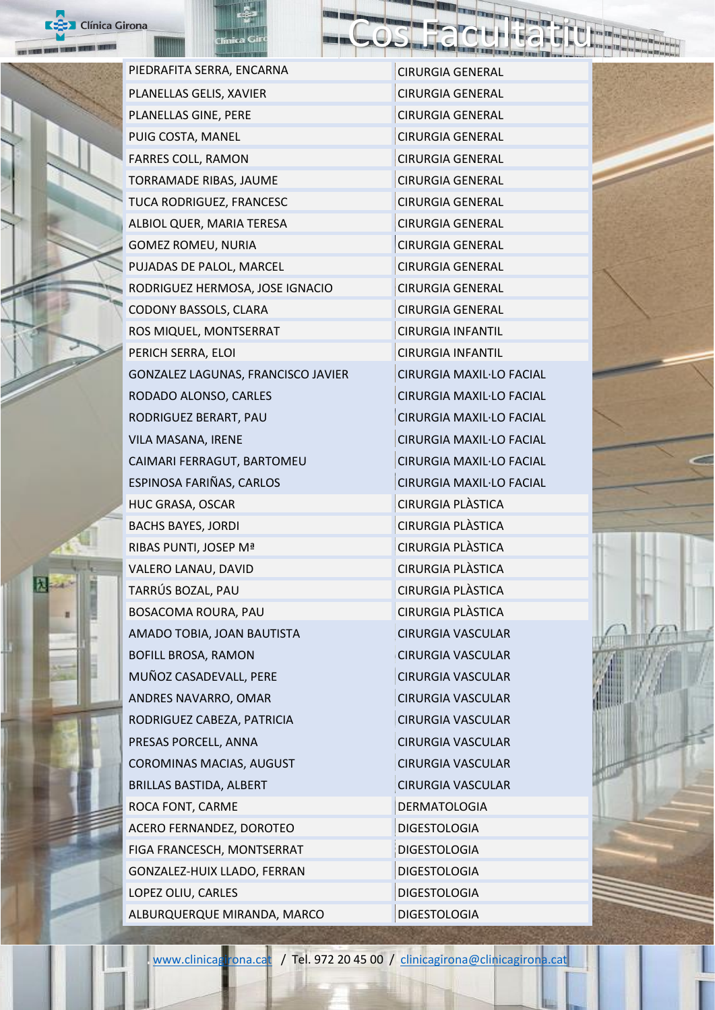



PIEDRAFITA SERRA, ENCARNA CIRURGIA GENERAL PLANELLAS GELIS, XAVIER CIRURGIA GENERAL PLANELLAS GINE, PERE CIRURGIA GENERAL PUIG COSTA, MANEL CIRURGIA GENERAL FARRES COLL, RAMON CIRURGIA GENERAL TORRAMADE RIBAS, JAUME CHANGE CIRURGIA GENERAL TUCA RODRIGUEZ, FRANCESC CIRURGIA GENERAL ALBIOL QUER, MARIA TERESA CIRURGIA GENERAL GOMEZ ROMEU, NURIA CIRURGIA GENERAL PUJADAS DE PALOL, MARCEL CIRURGIA GENERAL RODRIGUEZ HERMOSA, JOSE IGNACIO CIRURGIA GENERAL CODONY BASSOLS, CLARA CIRURGIA GENERAL ROS MIQUEL, MONTSERRAT CIRURGIA INFANTIL PERICH SERRA, ELOI CHANGIA INFANTIL GONZALEZ LAGUNAS, FRANCISCO JAVIER CIRURGIA MAXIL·LO FACIAL RODADO ALONSO, CARLES CIRURGIA MAXIL·LO FACIAL RODRIGUEZ BERART, PAU CIRURGIA MAXIL·LO FACIAL VILA MASANA, IRENE CIRURGIA MAXIL·LO FACIAL CAIMARI FERRAGUT, BARTOMEU CIRURGIA MAXIL·LO FACIAL ESPINOSA FARIÑAS, CARLOS CIRURGIA MAXIL·LO FACIAL HUC GRASA, OSCAR CIRURGIA PLÀSTICA BACHS BAYES, JORDI CIRURGIA PLÀSTICA RIBAS PUNTI, JOSEP Mª CIRURGIA PLÀSTICA VALERO LANAU, DAVID CIRURGIA PLÀSTICA TARRÚS BOZAL, PAU CIRURGIA PLÀSTICA BOSACOMA ROURA, PAU CIRURGIA PLÀSTICA AMADO TOBIA, JOAN BAUTISTA CIRURGIA VASCULAR BOFILL BROSA, RAMON CIRURGIA VASCULAR MUÑOZ CASADEVALL, PERE CIRURGIA VASCULAR ANDRES NAVARRO, OMAR CIRURGIA VASCULAR RODRIGUEZ CABEZA, PATRICIA CIRURGIA VASCULAR PRESAS PORCELL, ANNA CIRURGIA VASCULAR COROMINAS MACIAS, AUGUST CIRURGIA VASCULAR BRILLAS BASTIDA, ALBERT CIRURGIA VASCULAR ROCA FONT, CARME DERMATOLOGIA ACERO FERNANDEZ, DOROTEO DIGESTOLOGIA FIGA FRANCESCH, MONTSERRAT DIGESTOLOGIA GONZALEZ-HUIX LLADO, FERRAN DIGESTOLOGIA LOPEZ OLIU, CARLES DIGESTOLOGIA ALBURQUERQUE MIRANDA, MARCO DIGESTOLOGIA

Cos Facultatiu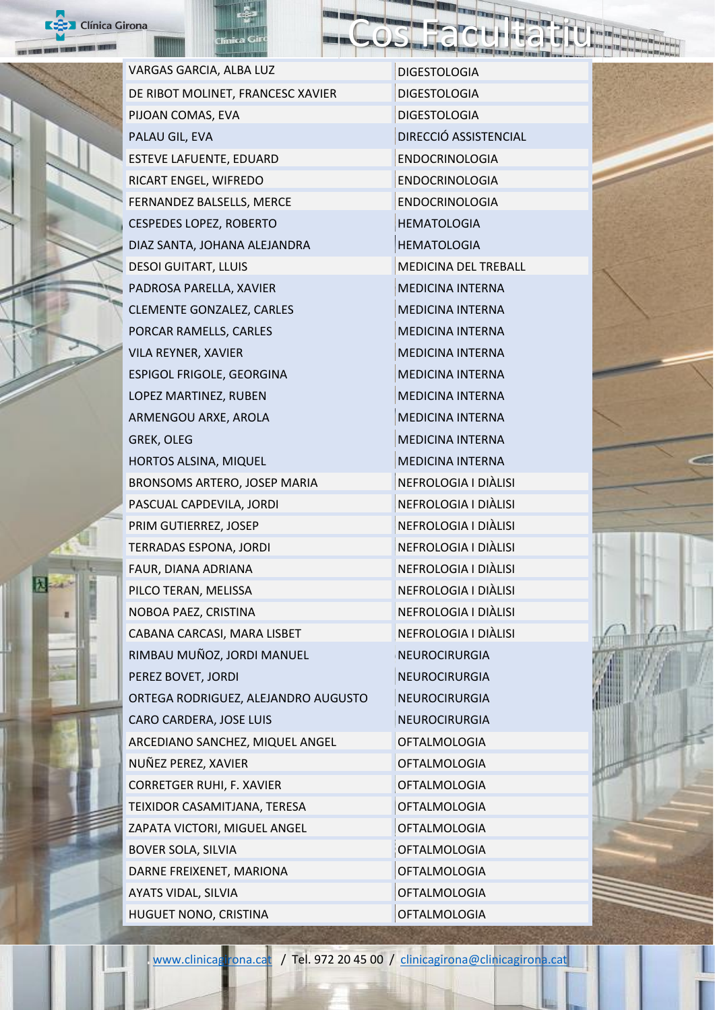



HUGUET NONO, CRISTINA **OFTALMOLOGIA** 

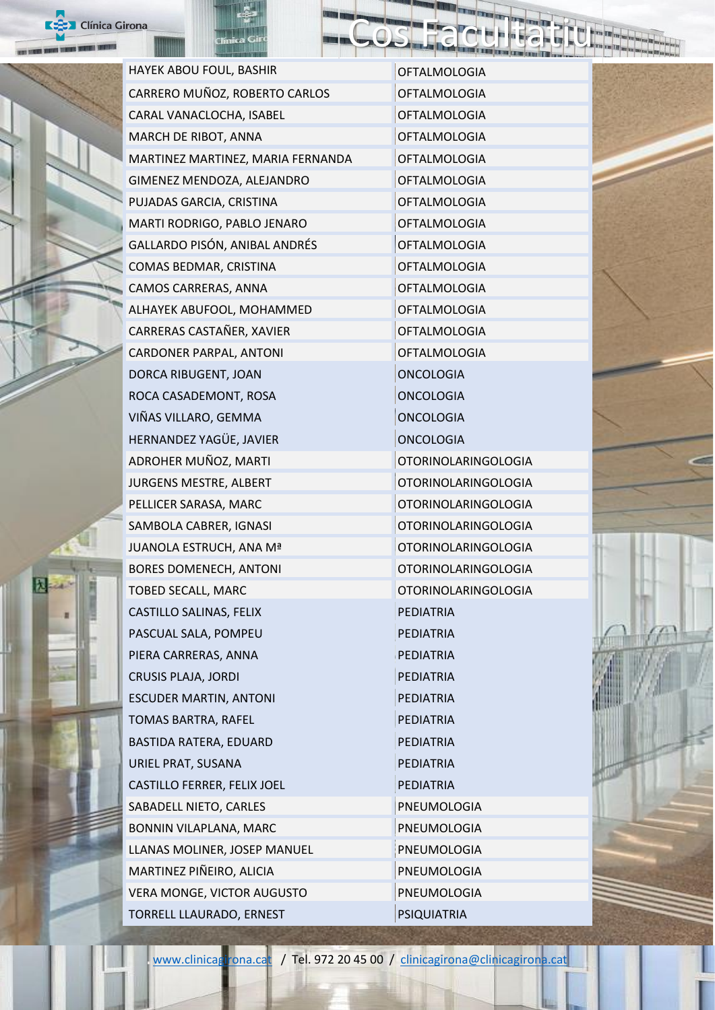

焛

| nica Girona |                                   |                            |  |  |
|-------------|-----------------------------------|----------------------------|--|--|
|             | HAYEK ABOU FOUL, BASHIR           | <b>OFTALMOLOGIA</b>        |  |  |
|             | CARRERO MUÑOZ, ROBERTO CARLOS     | <b>OFTALMOLOGIA</b>        |  |  |
|             | CARAL VANACLOCHA, ISABEL          | <b>OFTALMOLOGIA</b>        |  |  |
|             | MARCH DE RIBOT, ANNA              | <b>OFTALMOLOGIA</b>        |  |  |
|             | MARTINEZ MARTINEZ, MARIA FERNANDA | <b>OFTALMOLOGIA</b>        |  |  |
|             | GIMENEZ MENDOZA, ALEJANDRO        | <b>OFTALMOLOGIA</b>        |  |  |
|             | PUJADAS GARCIA, CRISTINA          | <b>OFTALMOLOGIA</b>        |  |  |
|             | MARTI RODRIGO, PABLO JENARO       | <b>OFTALMOLOGIA</b>        |  |  |
|             | GALLARDO PISÓN, ANIBAL ANDRÉS     | <b>OFTALMOLOGIA</b>        |  |  |
|             | COMAS BEDMAR, CRISTINA            | <b>OFTALMOLOGIA</b>        |  |  |
|             | CAMOS CARRERAS, ANNA              | <b>OFTALMOLOGIA</b>        |  |  |
|             | ALHAYEK ABUFOOL, MOHAMMED         | <b>OFTALMOLOGIA</b>        |  |  |
|             | CARRERAS CASTAÑER, XAVIER         | <b>OFTALMOLOGIA</b>        |  |  |
|             | CARDONER PARPAL, ANTONI           | <b>OFTALMOLOGIA</b>        |  |  |
|             | DORCA RIBUGENT, JOAN              | <b>ONCOLOGIA</b>           |  |  |
|             | ROCA CASADEMONT, ROSA             | <b>ONCOLOGIA</b>           |  |  |
|             | VIÑAS VILLARO, GEMMA              | <b>ONCOLOGIA</b>           |  |  |
|             | HERNANDEZ YAGÜE, JAVIER           | <b>ONCOLOGIA</b>           |  |  |
|             | ADROHER MUÑOZ, MARTI              | <b>OTORINOLARINGOLOGIA</b> |  |  |
|             | JURGENS MESTRE, ALBERT            | <b>OTORINOLARINGOLOGIA</b> |  |  |
|             | PELLICER SARASA, MARC             | <b>OTORINOLARINGOLOGIA</b> |  |  |
|             | SAMBOLA CABRER, IGNASI            | <b>OTORINOLARINGOLOGIA</b> |  |  |
|             | JUANOLA ESTRUCH, ANA Mª           | <b>OTORINOLARINGOLOGIA</b> |  |  |
|             | <b>BORES DOMENECH, ANTONI</b>     | <b>OTORINOLARINGOLOGIA</b> |  |  |
|             | TOBED SECALL, MARC                | <b>OTORINOLARINGOLOGIA</b> |  |  |
|             | CASTILLO SALINAS, FELIX           | <b>PEDIATRIA</b>           |  |  |
|             | PASCUAL SALA, POMPEU              | <b>PEDIATRIA</b>           |  |  |
|             | PIERA CARRERAS, ANNA              | <b>PEDIATRIA</b>           |  |  |
|             | <b>CRUSIS PLAJA, JORDI</b>        | <b>PEDIATRIA</b>           |  |  |
|             | <b>ESCUDER MARTIN, ANTONI</b>     | <b>PEDIATRIA</b>           |  |  |
|             | TOMAS BARTRA, RAFEL               | <b>PEDIATRIA</b>           |  |  |
|             | BASTIDA RATERA, EDUARD            | <b>PEDIATRIA</b>           |  |  |
|             | URIEL PRAT, SUSANA                | <b>PEDIATRIA</b>           |  |  |
|             | CASTILLO FERRER, FELIX JOEL       | <b>PEDIATRIA</b>           |  |  |
|             | SABADELL NIETO, CARLES            | PNEUMOLOGIA                |  |  |
|             | BONNIN VILAPLANA, MARC            | PNEUMOLOGIA                |  |  |
|             | LLANAS MOLINER, JOSEP MANUEL      | PNEUMOLOGIA                |  |  |
|             | MARTINEZ PIÑEIRO, ALICIA          | PNEUMOLOGIA                |  |  |
|             | VERA MONGE, VICTOR AUGUSTO        | PNEUMOLOGIA                |  |  |
|             | TORRELL LLAURADO, ERNEST          | <b>PSIQUIATRIA</b>         |  |  |

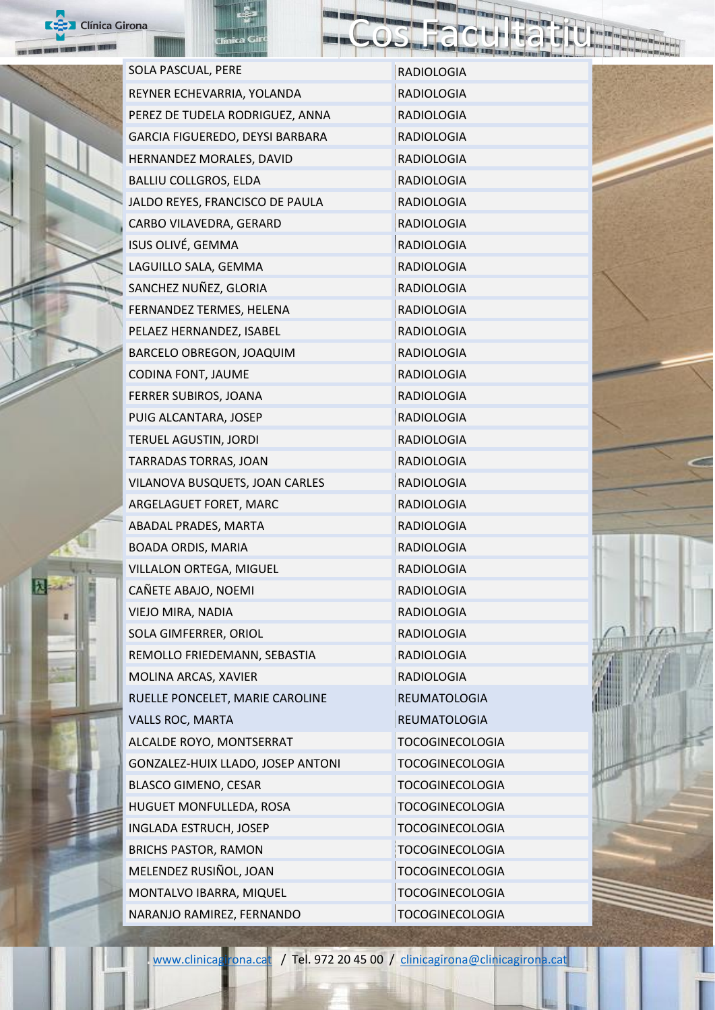

昆

|  | SOLA PASCUAL, PERE                | <b>RADIOLOGIA</b>      |
|--|-----------------------------------|------------------------|
|  | REYNER ECHEVARRIA, YOLANDA        | <b>RADIOLOGIA</b>      |
|  | PEREZ DE TUDELA RODRIGUEZ, ANNA   | <b>RADIOLOGIA</b>      |
|  | GARCIA FIGUEREDO, DEYSI BARBARA   | <b>RADIOLOGIA</b>      |
|  | HERNANDEZ MORALES, DAVID          | <b>RADIOLOGIA</b>      |
|  | <b>BALLIU COLLGROS, ELDA</b>      | <b>RADIOLOGIA</b>      |
|  | JALDO REYES, FRANCISCO DE PAULA   | <b>RADIOLOGIA</b>      |
|  | CARBO VILAVEDRA, GERARD           | <b>RADIOLOGIA</b>      |
|  | ISUS OLIVÉ, GEMMA                 | <b>RADIOLOGIA</b>      |
|  | LAGUILLO SALA, GEMMA              | <b>RADIOLOGIA</b>      |
|  | SANCHEZ NUÑEZ, GLORIA             | <b>RADIOLOGIA</b>      |
|  | FERNANDEZ TERMES, HELENA          | <b>RADIOLOGIA</b>      |
|  | PELAEZ HERNANDEZ, ISABEL          | <b>RADIOLOGIA</b>      |
|  | BARCELO OBREGON, JOAQUIM          | <b>RADIOLOGIA</b>      |
|  | CODINA FONT, JAUME                | <b>RADIOLOGIA</b>      |
|  | FERRER SUBIROS, JOANA             | <b>RADIOLOGIA</b>      |
|  | PUIG ALCANTARA, JOSEP             | <b>RADIOLOGIA</b>      |
|  | TERUEL AGUSTIN, JORDI             | <b>RADIOLOGIA</b>      |
|  | TARRADAS TORRAS, JOAN             | <b>RADIOLOGIA</b>      |
|  | VILANOVA BUSQUETS, JOAN CARLES    | <b>RADIOLOGIA</b>      |
|  | ARGELAGUET FORET, MARC            | <b>RADIOLOGIA</b>      |
|  | ABADAL PRADES, MARTA              | RADIOLOGIA             |
|  | BOADA ORDIS, MARIA                | <b>RADIOLOGIA</b>      |
|  | VILLALON ORTEGA, MIGUEL           | <b>RADIOLOGIA</b>      |
|  | CAÑETE ABAJO, NOEMI               | <b>RADIOLOGIA</b>      |
|  | VIEJO MIRA, NADIA                 | <b>RADIOLOGIA</b>      |
|  | SOLA GIMFERRER, ORIOL             | <b>RADIOLOGIA</b>      |
|  | REMOLLO FRIEDEMANN, SEBASTIA      | <b>RADIOLOGIA</b>      |
|  | MOLINA ARCAS, XAVIER              | <b>RADIOLOGIA</b>      |
|  | RUELLE PONCELET, MARIE CAROLINE   | <b>REUMATOLOGIA</b>    |
|  | <b>VALLS ROC, MARTA</b>           | <b>REUMATOLOGIA</b>    |
|  | ALCALDE ROYO, MONTSERRAT          | <b>TOCOGINECOLOGIA</b> |
|  | GONZALEZ-HUIX LLADO, JOSEP ANTONI | <b>TOCOGINECOLOGIA</b> |
|  | <b>BLASCO GIMENO, CESAR</b>       | <b>TOCOGINECOLOGIA</b> |
|  | HUGUET MONFULLEDA, ROSA           | <b>TOCOGINECOLOGIA</b> |
|  | <b>INGLADA ESTRUCH, JOSEP</b>     | <b>TOCOGINECOLOGIA</b> |
|  | <b>BRICHS PASTOR, RAMON</b>       | <b>TOCOGINECOLOGIA</b> |
|  | MELENDEZ RUSIÑOL, JOAN            | <b>TOCOGINECOLOGIA</b> |
|  | MONTALVO IBARRA, MIQUEL           | <b>TOCOGINECOLOGIA</b> |
|  | NARANJO RAMIREZ, FERNANDO         | <b>TOCOGINECOLOGIA</b> |

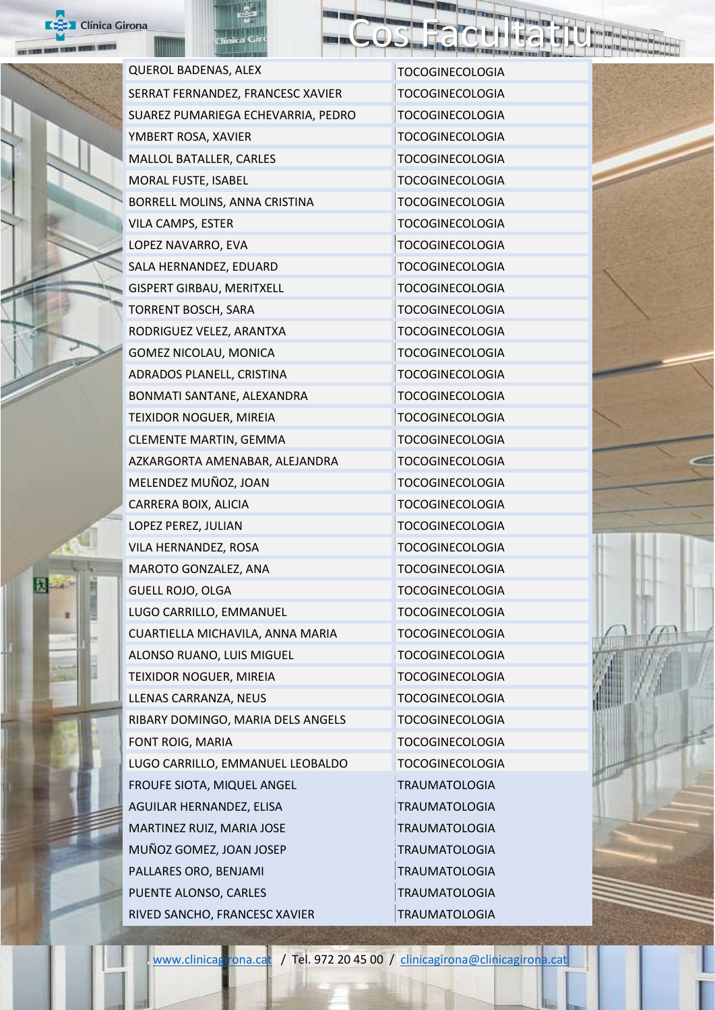